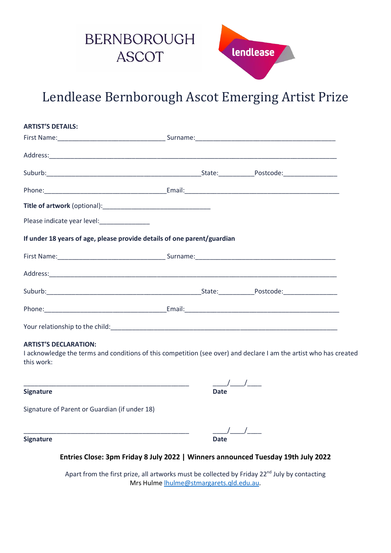

Lendlease Bernborough Ascot Emerging Artist Prize

| <b>ARTIST'S DETAILS:</b>                                                |  |  |
|-------------------------------------------------------------------------|--|--|
|                                                                         |  |  |
|                                                                         |  |  |
|                                                                         |  |  |
|                                                                         |  |  |
|                                                                         |  |  |
|                                                                         |  |  |
| If under 18 years of age, please provide details of one parent/guardian |  |  |
|                                                                         |  |  |
|                                                                         |  |  |
|                                                                         |  |  |
|                                                                         |  |  |
|                                                                         |  |  |

## **ARTIST'S DECLARATION:**

I acknowledge the terms and conditions of this competition (see over) and declare I am the artist who has created this work:

| <b>Signature</b>                              | Date |
|-----------------------------------------------|------|
| Signature of Parent or Guardian (if under 18) |      |

| <b>Signature</b> | <b>Date</b> |
|------------------|-------------|

**Entries Close: 3pm Friday 8 July 2022 | Winners announced Tuesday 19th July 2022**

Apart from the first prize, all artworks must be collected by Friday 22<sup>nd</sup> July by contacting Mrs Hulme [lhulme@stmargarets.qld.edu.au.](mailto:lhulme@stmargarets.qld.edu.au)